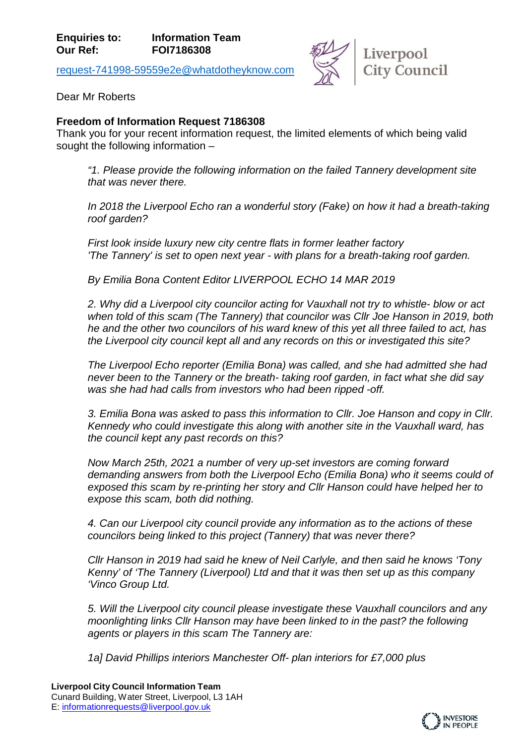[request-741998-59559e2e@whatdotheyknow.com](mailto:xxxxxxxxxxxxxxxxxxxxxxx@xxxxxxxxxxxxxx.xxx)



Dear Mr Roberts

## **Freedom of Information Request 7186308**

Thank you for your recent information request, the limited elements of which being valid sought the following information –

*"1. Please provide the following information on the failed Tannery development site that was never there.*

*In 2018 the Liverpool Echo ran a wonderful story (Fake) on how it had a breath-taking roof garden?*

*First look inside luxury new city centre flats in former leather factory 'The Tannery' is set to open next year - with plans for a breath-taking roof garden.*

*By Emilia Bona Content Editor LIVERPOOL ECHO 14 MAR 2019*

*2. Why did a Liverpool city councilor acting for Vauxhall not try to whistle- blow or act when told of this scam (The Tannery) that councilor was Cllr Joe Hanson in 2019, both he and the other two councilors of his ward knew of this yet all three failed to act, has the Liverpool city council kept all and any records on this or investigated this site?*

*The Liverpool Echo reporter (Emilia Bona) was called, and she had admitted she had never been to the Tannery or the breath- taking roof garden, in fact what she did say was she had had calls from investors who had been ripped -off.*

*3. Emilia Bona was asked to pass this information to Cllr. Joe Hanson and copy in Cllr. Kennedy who could investigate this along with another site in the Vauxhall ward, has the council kept any past records on this?*

*Now March 25th, 2021 a number of very up-set investors are coming forward demanding answers from both the Liverpool Echo (Emilia Bona) who it seems could of exposed this scam by re-printing her story and Cllr Hanson could have helped her to expose this scam, both did nothing.* 

*4. Can our Liverpool city council provide any information as to the actions of these councilors being linked to this project (Tannery) that was never there?*

*Cllr Hanson in 2019 had said he knew of Neil Carlyle, and then said he knows 'Tony Kenny' of 'The Tannery (Liverpool) Ltd and that it was then set up as this company 'Vinco Group Ltd.*

*5. Will the Liverpool city council please investigate these Vauxhall councilors and any moonlighting links Cllr Hanson may have been linked to in the past? the following agents or players in this scam The Tannery are:*

*1a] David Phillips interiors Manchester Off- plan interiors for £7,000 plus*

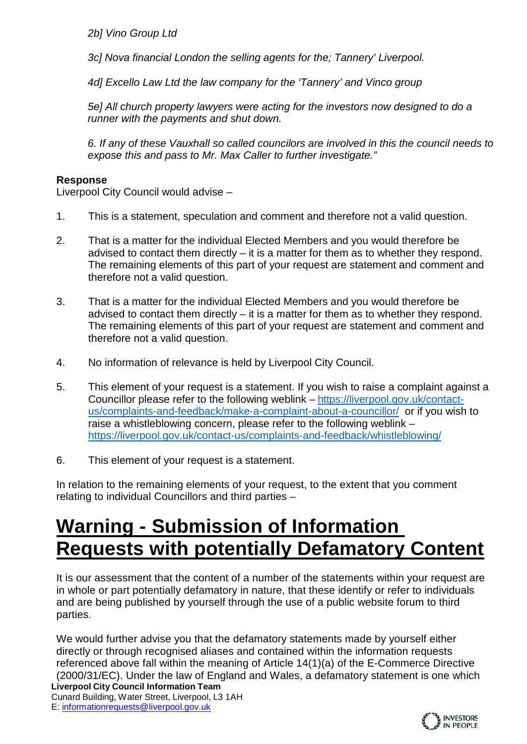*2b] Vino Group Ltd* 

*3c] Nova financial London the selling agents for the; Tannery' Liverpool.*

*4d] Excello Law Ltd the law company for the 'Tannery' and Vinco group* 

*5e] All church property lawyers were acting for the investors now designed to do a runner with the payments and shut down.*

*6. If any of these Vauxhall so called councilors are involved in this the council needs to expose this and pass to Mr. Max Caller to further investigate."*

## **Response**

Liverpool City Council would advise –

- 1. This is a statement, speculation and comment and therefore not a valid question.
- 2. That is a matter for the individual Elected Members and you would therefore be advised to contact them directly – it is a matter for them as to whether they respond. The remaining elements of this part of your request are statement and comment and therefore not a valid question.
- 3. That is a matter for the individual Elected Members and you would therefore be advised to contact them directly – it is a matter for them as to whether they respond. The remaining elements of this part of your request are statement and comment and therefore not a valid question.
- 4. No information of relevance is held by Liverpool City Council.
- 5. This element of your request is a statement. If you wish to raise a complaint against a Councillor please refer to the following weblink – [https://liverpool.gov.uk/contact](https://liverpool.gov.uk/contact-us/complaints-and-feedback/make-a-complaint-about-a-councillor/)[us/complaints-and-feedback/make-a-complaint-about-a-councillor/](https://liverpool.gov.uk/contact-us/complaints-and-feedback/make-a-complaint-about-a-councillor/) or if you wish to raise a whistleblowing concern, please refer to the following weblink – <https://liverpool.gov.uk/contact-us/complaints-and-feedback/whistleblowing/>
- 6. This element of your request is a statement.

In relation to the remaining elements of your request, to the extent that you comment relating to individual Councillors and third parties –

## **Warning - Submission of Information Requests with potentially Defamatory Content**

It is our assessment that the content of a number of the statements within your request are in whole or part potentially defamatory in nature, that these identify or refer to individuals and are being published by yourself through the use of a public website forum to third parties.

**Liverpool City Council Information Team** We would further advise you that the defamatory statements made by yourself either directly or through recognised aliases and contained within the information requests referenced above fall within the meaning of Article 14(1)(a) of the E-Commerce Directive (2000/31/EC). Under the law of England and Wales, a defamatory statement is one which